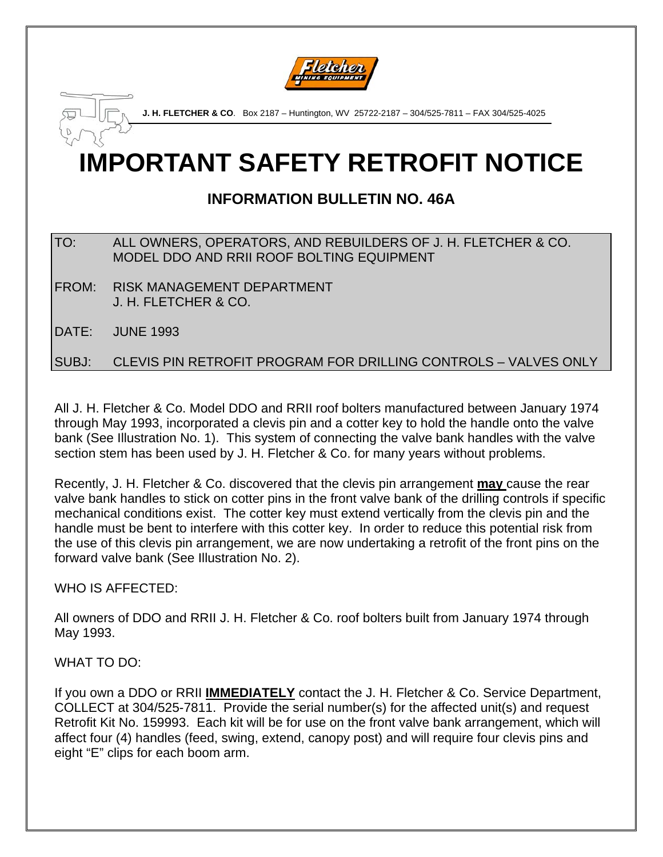

**J. H. FLETCHER & CO**. Box 2187 – Huntington, WV 25722-2187 – 304/525-7811 – FAX 304/525-4025

# **IMPORTANT SAFETY RETROFIT NOTICE**

# **INFORMATION BULLETIN NO. 46A**

## TO: ALL OWNERS, OPERATORS, AND REBUILDERS OF J. H. FLETCHER & CO. MODEL DDO AND RRII ROOF BOLTING EQUIPMENT

FROM: RISK MANAGEMENT DEPARTMENT J. H. FLETCHER & CO.

DATE: JUNE 1993

SUBJ: CLEVIS PIN RETROFIT PROGRAM FOR DRILLING CONTROLS – VALVES ONLY

All J. H. Fletcher & Co. Model DDO and RRII roof bolters manufactured between January 1974 through May 1993, incorporated a clevis pin and a cotter key to hold the handle onto the valve bank (See Illustration No. 1). This system of connecting the valve bank handles with the valve section stem has been used by J. H. Fletcher & Co. for many years without problems.

Recently, J. H. Fletcher & Co. discovered that the clevis pin arrangement **may** cause the rear valve bank handles to stick on cotter pins in the front valve bank of the drilling controls if specific mechanical conditions exist. The cotter key must extend vertically from the clevis pin and the handle must be bent to interfere with this cotter key. In order to reduce this potential risk from the use of this clevis pin arrangement, we are now undertaking a retrofit of the front pins on the forward valve bank (See Illustration No. 2).

WHO IS AFFECTED:

All owners of DDO and RRII J. H. Fletcher & Co. roof bolters built from January 1974 through May 1993.

WHAT TO DO:

If you own a DDO or RRII **IMMEDIATELY** contact the J. H. Fletcher & Co. Service Department, COLLECT at 304/525-7811. Provide the serial number(s) for the affected unit(s) and request Retrofit Kit No. 159993. Each kit will be for use on the front valve bank arrangement, which will affect four (4) handles (feed, swing, extend, canopy post) and will require four clevis pins and eight "E" clips for each boom arm.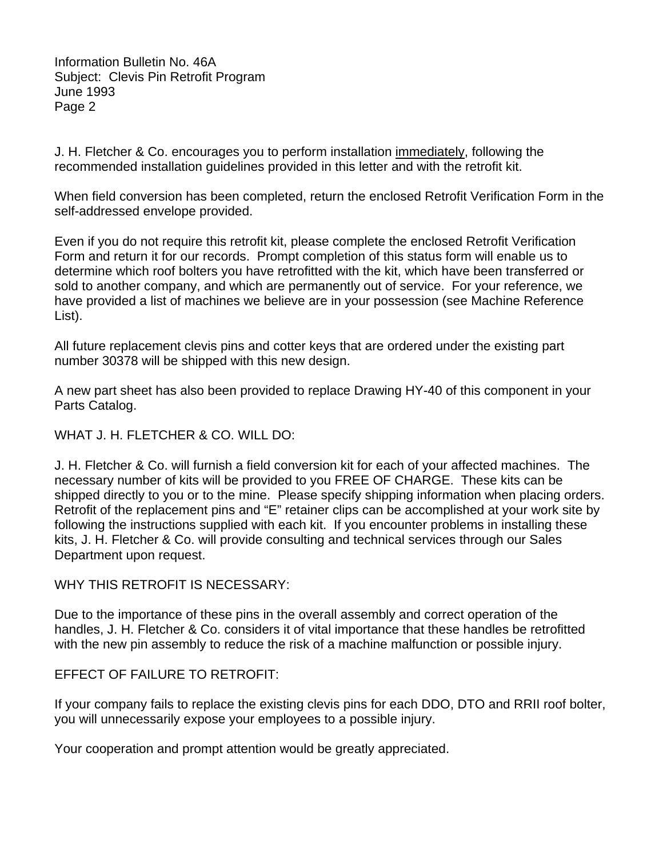Information Bulletin No. 46A Subject: Clevis Pin Retrofit Program June 1993 Page 2

J. H. Fletcher & Co. encourages you to perform installation immediately, following the recommended installation guidelines provided in this letter and with the retrofit kit.

When field conversion has been completed, return the enclosed Retrofit Verification Form in the self-addressed envelope provided.

Even if you do not require this retrofit kit, please complete the enclosed Retrofit Verification Form and return it for our records. Prompt completion of this status form will enable us to determine which roof bolters you have retrofitted with the kit, which have been transferred or sold to another company, and which are permanently out of service. For your reference, we have provided a list of machines we believe are in your possession (see Machine Reference List).

All future replacement clevis pins and cotter keys that are ordered under the existing part number 30378 will be shipped with this new design.

A new part sheet has also been provided to replace Drawing HY-40 of this component in your Parts Catalog.

WHAT J. H. FLETCHER & CO. WILL DO:

J. H. Fletcher & Co. will furnish a field conversion kit for each of your affected machines. The necessary number of kits will be provided to you FREE OF CHARGE. These kits can be shipped directly to you or to the mine. Please specify shipping information when placing orders. Retrofit of the replacement pins and "E" retainer clips can be accomplished at your work site by following the instructions supplied with each kit. If you encounter problems in installing these kits, J. H. Fletcher & Co. will provide consulting and technical services through our Sales Department upon request.

WHY THIS RETROFIT IS NECESSARY:

Due to the importance of these pins in the overall assembly and correct operation of the handles, J. H. Fletcher & Co. considers it of vital importance that these handles be retrofitted with the new pin assembly to reduce the risk of a machine malfunction or possible injury.

## EFFECT OF FAILURE TO RETROFIT:

If your company fails to replace the existing clevis pins for each DDO, DTO and RRII roof bolter, you will unnecessarily expose your employees to a possible injury.

Your cooperation and prompt attention would be greatly appreciated.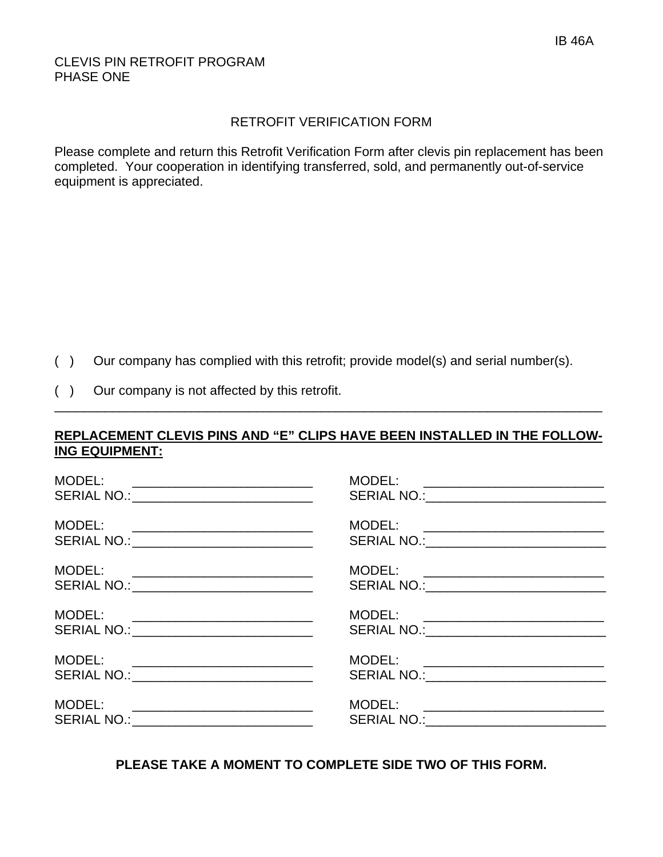### CLEVIS PIN RETROFIT PROGRAM PHASE ONE

#### RETROFIT VERIFICATION FORM

Please complete and return this Retrofit Verification Form after clevis pin replacement has been completed. Your cooperation in identifying transferred, sold, and permanently out-of-service equipment is appreciated.

- ( ) Our company has complied with this retrofit; provide model(s) and serial number(s).
- ( ) Our company is not affected by this retrofit.

## **REPLACEMENT CLEVIS PINS AND "E" CLIPS HAVE BEEN INSTALLED IN THE FOLLOW-ING EQUIPMENT:**

\_\_\_\_\_\_\_\_\_\_\_\_\_\_\_\_\_\_\_\_\_\_\_\_\_\_\_\_\_\_\_\_\_\_\_\_\_\_\_\_\_\_\_\_\_\_\_\_\_\_\_\_\_\_\_\_\_\_\_\_\_\_\_\_\_\_\_\_\_\_\_\_\_\_\_\_

| MODEL:<br><u> 1989 - Johann Stein, mars et al. (</u><br>SERIAL NO.: _____________________________                                                                             | MODEL: ___________________________<br>SERIAL NO.:___________________________     |
|-------------------------------------------------------------------------------------------------------------------------------------------------------------------------------|----------------------------------------------------------------------------------|
| MODEL:<br>SERIAL NO.: _____________________________                                                                                                                           |                                                                                  |
| MODEL:<br><u> 1980 - Andrea Andrew Maria (h. 1980).</u><br>SERIAL NO.: _______________________________                                                                        | MODEL: ___________________________                                               |
| MODEL:<br><u> 1989 - Jan Barnett, fransk politiker (d. 1989)</u><br>SERIAL NO.: _____________________________                                                                 | MODEL: __________________________<br>SERIAL NO.: ______________________________  |
| MODEL:<br><u> 1980 - Johann Barn, mars and de Britannic and de Britannic and de Britannic and de Britannic and de Britannic</u><br>SERIAL NO.: ______________________________ | MODEL: ____________________________<br>SERIAL NO.:______________________________ |
| MODEL:<br><u> 1980 - Johann John Stein, fransk politik (</u><br>SERIAL NO.: ________________________________                                                                  | MODEL: ____________________________                                              |

**PLEASE TAKE A MOMENT TO COMPLETE SIDE TWO OF THIS FORM.**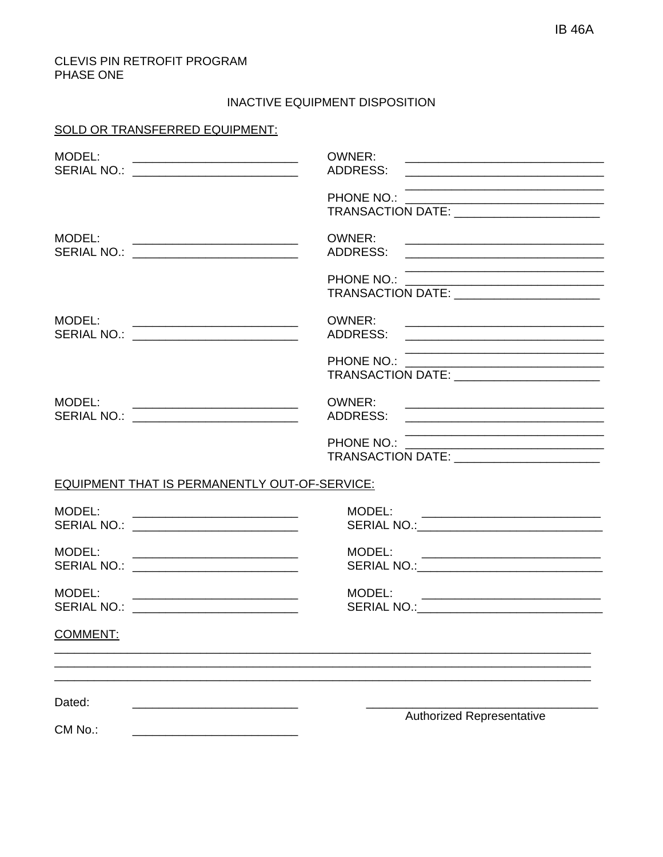#### CLEVIS PIN RETROFIT PROGRAM PHASE ONE

#### INACTIVE EQUIPMENT DISPOSITION

#### SOLD OR TRANSFERRED EQUIPMENT:

| MODEL:<br>SERIAL NO.: ___________________________                                                                         | OWNER:<br><u> 1989 - Johann John Stone, mars eta biztanleria (h. 1982).</u><br>ADDRESS:                                                     |
|---------------------------------------------------------------------------------------------------------------------------|---------------------------------------------------------------------------------------------------------------------------------------------|
|                                                                                                                           |                                                                                                                                             |
| MODEL:<br><u> 1989 - Andrea Andrews, amerikansk politik (</u><br>SERIAL NO.: ___________________________                  | OWNER:<br>ADDRESS:                                                                                                                          |
|                                                                                                                           | PHONE NO.:<br>TRANSACTION DATE: __________________________                                                                                  |
| MODEL:<br>SERIAL NO.: ___________________________                                                                         | OWNER:<br><u> 2000 - Jan James James James James James James James James James James James James James James James James Ja</u><br>ADDRESS: |
|                                                                                                                           | PHONE NO.:<br>TRANSACTION DATE: _________________________                                                                                   |
| MODEL:<br><u> 1989 - Johann Stein, mars et al. 1989 - Anna Barbara (</u><br>SERIAL NO.: ____________________________      | OWNER:                                                                                                                                      |
|                                                                                                                           |                                                                                                                                             |
| EQUIPMENT THAT IS PERMANENTLY OUT-OF-SERVICE:                                                                             |                                                                                                                                             |
| MODEL:<br><u> 1980 - Jan Samuel Barbara, margaret eta idazlea (h. 1980).</u><br>SERIAL NO.: _____________________________ | MODEL:                                                                                                                                      |
| MODEL:<br>SERIAL NO.: <u>________________________</u>                                                                     | MODEL:<br><u> 1980 - Andrea Andrews, amerikansk politik (</u>                                                                               |
| MODEL:<br>SERIAL NO.: ___________________________                                                                         | MODEL:                                                                                                                                      |
| <b>COMMENT:</b>                                                                                                           |                                                                                                                                             |
| Dated:                                                                                                                    |                                                                                                                                             |
| CM No.:                                                                                                                   | <b>Authorized Representative</b>                                                                                                            |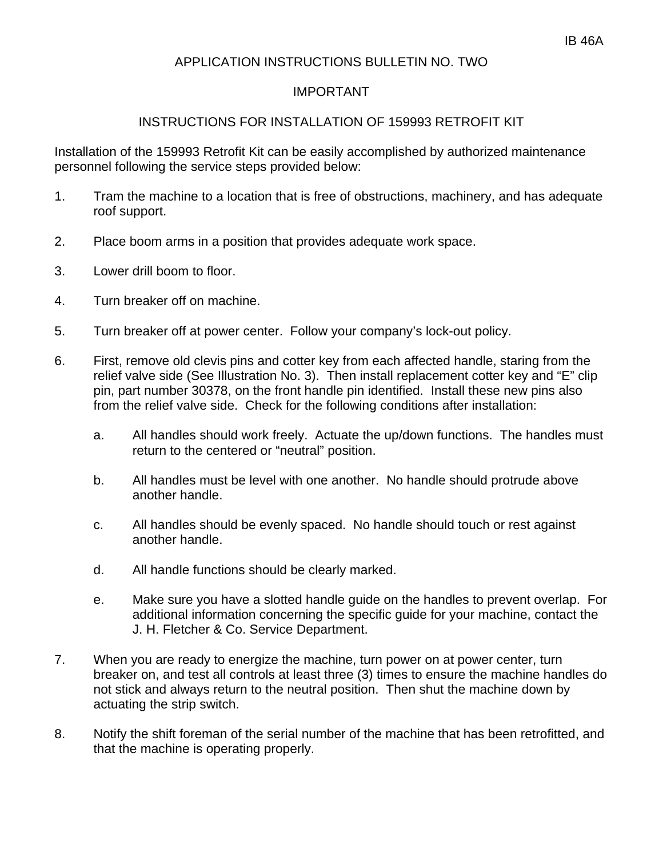## APPLICATION INSTRUCTIONS BULLETIN NO. TWO

### IMPORTANT

#### INSTRUCTIONS FOR INSTALLATION OF 159993 RETROFIT KIT

Installation of the 159993 Retrofit Kit can be easily accomplished by authorized maintenance personnel following the service steps provided below:

- 1. Tram the machine to a location that is free of obstructions, machinery, and has adequate roof support.
- 2. Place boom arms in a position that provides adequate work space.
- 3. Lower drill boom to floor.
- 4. Turn breaker off on machine.
- 5. Turn breaker off at power center. Follow your company's lock-out policy.
- 6. First, remove old clevis pins and cotter key from each affected handle, staring from the relief valve side (See Illustration No. 3). Then install replacement cotter key and "E" clip pin, part number 30378, on the front handle pin identified. Install these new pins also from the relief valve side. Check for the following conditions after installation:
	- a. All handles should work freely. Actuate the up/down functions. The handles must return to the centered or "neutral" position.
	- b. All handles must be level with one another. No handle should protrude above another handle.
	- c. All handles should be evenly spaced. No handle should touch or rest against another handle.
	- d. All handle functions should be clearly marked.
	- e. Make sure you have a slotted handle guide on the handles to prevent overlap. For additional information concerning the specific guide for your machine, contact the J. H. Fletcher & Co. Service Department.
- 7. When you are ready to energize the machine, turn power on at power center, turn breaker on, and test all controls at least three (3) times to ensure the machine handles do not stick and always return to the neutral position. Then shut the machine down by actuating the strip switch.
- 8. Notify the shift foreman of the serial number of the machine that has been retrofitted, and that the machine is operating properly.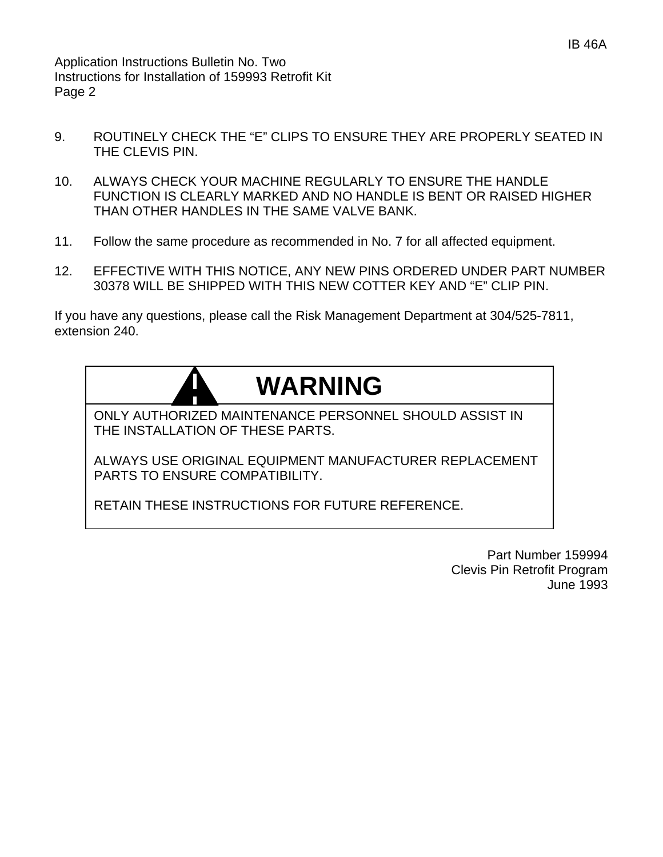Application Instructions Bulletin No. Two Instructions for Installation of 159993 Retrofit Kit Page 2

- 9. ROUTINELY CHECK THE "E" CLIPS TO ENSURE THEY ARE PROPERLY SEATED IN THE CLEVIS PIN.
- 10. ALWAYS CHECK YOUR MACHINE REGULARLY TO ENSURE THE HANDLE FUNCTION IS CLEARLY MARKED AND NO HANDLE IS BENT OR RAISED HIGHER THAN OTHER HANDLES IN THE SAME VALVE BANK.
- 11. Follow the same procedure as recommended in No. 7 for all affected equipment.
- 12. EFFECTIVE WITH THIS NOTICE, ANY NEW PINS ORDERED UNDER PART NUMBER 30378 WILL BE SHIPPED WITH THIS NEW COTTER KEY AND "E" CLIP PIN.

If you have any questions, please call the Risk Management Department at 304/525-7811, extension 240.

# **WARNING**

ONLY AUTHORIZED MAINTENANCE PERSONNEL SHOULD ASSIST IN THE INSTALLATION OF THESE PARTS.

ALWAYS USE ORIGINAL EQUIPMENT MANUFACTURER REPLACEMENT PARTS TO ENSURE COMPATIBILITY.

RETAIN THESE INSTRUCTIONS FOR FUTURE REFERENCE.

Part Number 159994 Clevis Pin Retrofit Program June 1993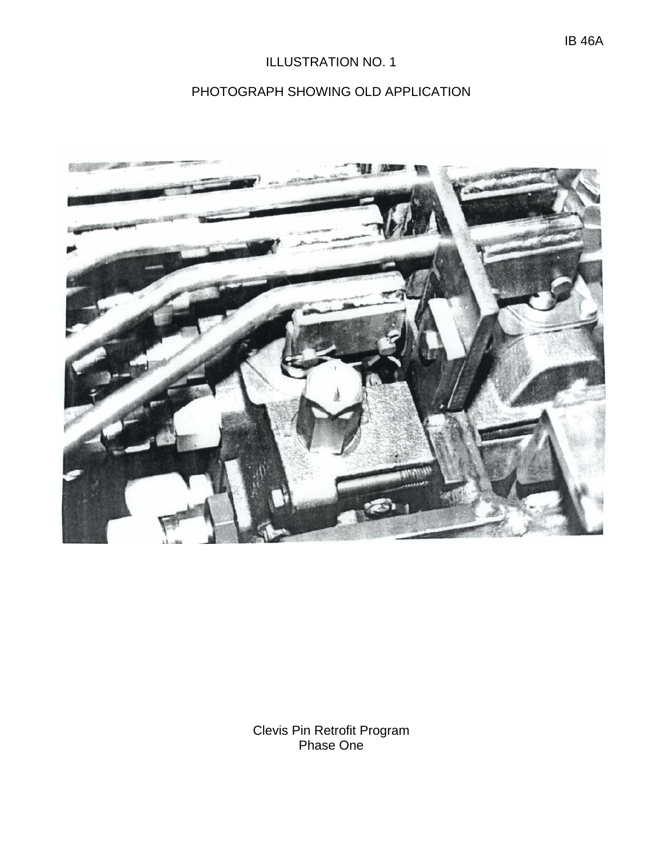# ILLUSTRATION NO. 1

# PHOTOGRAPH SHOWING OLD APPLICATION



Clevis Pin Retrofit Program Phase One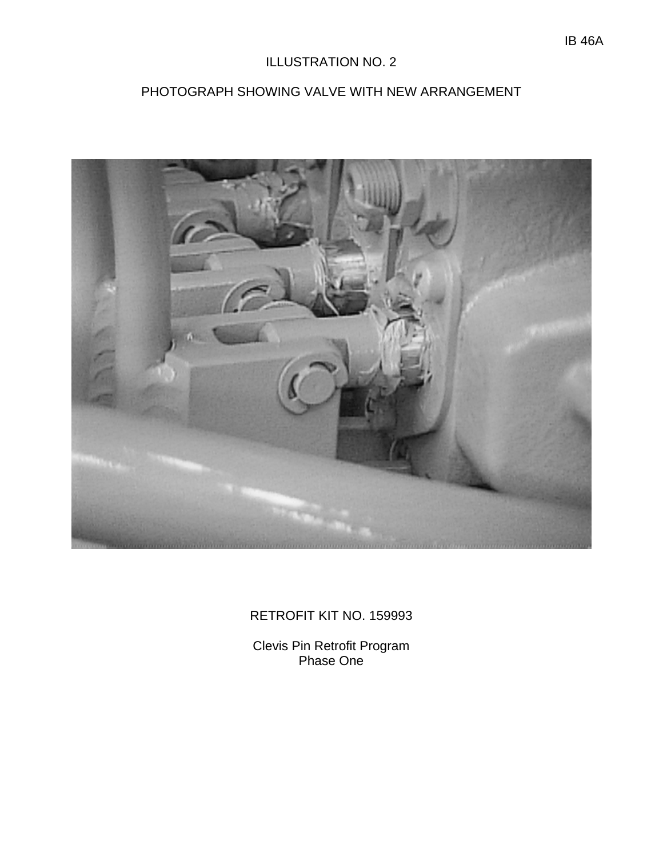## ILLUSTRATION NO. 2

# PHOTOGRAPH SHOWING VALVE WITH NEW ARRANGEMENT



## RETROFIT KIT NO. 159993

Clevis Pin Retrofit Program Phase One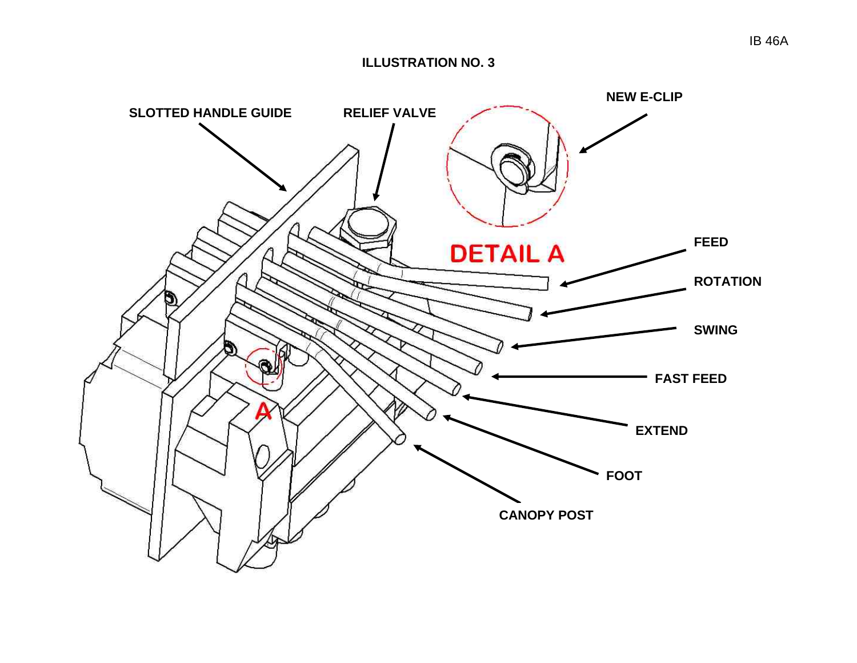#### **ILLUSTRATION NO. 3**